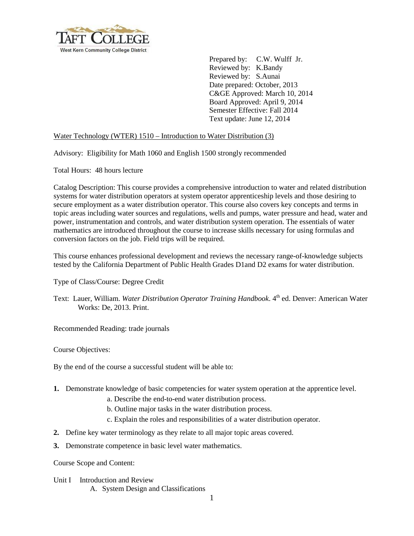

 Prepared by: C.W. Wulff Jr. Reviewed by: K.Bandy Reviewed by: S.Aunai Date prepared: October, 2013 C&GE Approved: March 10, 2014 Board Approved: April 9, 2014 Semester Effective: Fall 2014 Text update: June 12, 2014

## Water Technology (WTER) 1510 – Introduction to Water Distribution (3)

Advisory: Eligibility for Math 1060 and English 1500 strongly recommended

Total Hours: 48 hours lecture

Catalog Description: This course provides a comprehensive introduction to water and related distribution systems for water distribution operators at system operator apprenticeship levels and those desiring to secure employment as a water distribution operator. This course also covers key concepts and terms in topic areas including water sources and regulations, wells and pumps, water pressure and head, water and power, instrumentation and controls, and water distribution system operation. The essentials of water mathematics are introduced throughout the course to increase skills necessary for using formulas and conversion factors on the job. Field trips will be required.

This course enhances professional development and reviews the necessary range-of-knowledge subjects tested by the California Department of Public Health Grades D1and D2 exams for water distribution.

Type of Class/Course: Degree Credit

Text: Lauer, William. *Water Distribution Operator Training Handbook*. 4<sup>th</sup> ed. Denver: American Water Works: De, 2013. Print.

Recommended Reading: trade journals

Course Objectives:

By the end of the course a successful student will be able to:

- **1.** Demonstrate knowledge of basic competencies for water system operation at the apprentice level.
	- a. Describe the end-to-end water distribution process.
	- b. Outline major tasks in the water distribution process.
	- c. Explain the roles and responsibilities of a water distribution operator.
- **2.** Define key water terminology as they relate to all major topic areas covered.
- **3.** Demonstrate competence in basic level water mathematics.

Course Scope and Content:

Unit I Introduction and Review A. System Design and Classifications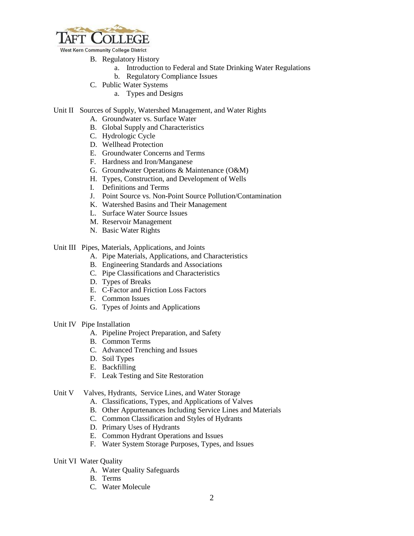

West Kern Community College District

- B. Regulatory History
	- a. Introduction to Federal and State Drinking Water Regulations
	- b. Regulatory Compliance Issues
- C. Public Water Systems
	- a. Types and Designs
- Unit II Sources of Supply, Watershed Management, and Water Rights
	- A. Groundwater vs. Surface Water
	- B. Global Supply and Characteristics
	- C. Hydrologic Cycle
	- D. Wellhead Protection
	- E. Groundwater Concerns and Terms
	- F. Hardness and Iron/Manganese
	- G. Groundwater Operations & Maintenance (O&M)
	- H. Types, Construction, and Development of Wells
	- I. Definitions and Terms
	- J. Point Source vs. Non-Point Source Pollution/Contamination
	- K. Watershed Basins and Their Management
	- L. Surface Water Source Issues
	- M. Reservoir Management
	- N. Basic Water Rights

Unit III Pipes, Materials, Applications, and Joints

- A. Pipe Materials, Applications, and Characteristics
- B. Engineering Standards and Associations
- C. Pipe Classifications and Characteristics
- D. Types of Breaks
- E. C-Factor and Friction Loss Factors
- F. Common Issues
- G. Types of Joints and Applications
- Unit IV Pipe Installation
	- A. Pipeline Project Preparation, and Safety
	- B. Common Terms
	- C. Advanced Trenching and Issues
	- D. Soil Types
	- E. Backfilling
	- F. Leak Testing and Site Restoration

Unit V Valves, Hydrants, Service Lines, and Water Storage

- A. Classifications, Types, and Applications of Valves
- B. Other Appurtenances Including Service Lines and Materials
- C. Common Classification and Styles of Hydrants
- D. Primary Uses of Hydrants
- E. Common Hydrant Operations and Issues
- F. Water System Storage Purposes, Types, and Issues
- Unit VI Water Quality
	- A. Water Quality Safeguards
	- B. Terms
	- C. Water Molecule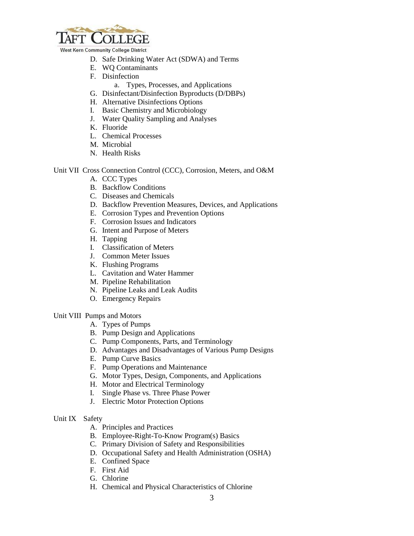

**West Kern Community College District** 

- D. Safe Drinking Water Act (SDWA) and Terms
- E. WQ Contaminants
- F. Disinfection
	- a. Types, Processes, and Applications
- G. Disinfectant/Disinfection Byproducts (D/DBPs)
- H. Alternative Disinfections Options
- I. Basic Chemistry and Microbiology
- J. Water Quality Sampling and Analyses
- K. Fluoride
- L. Chemical Processes
- M. Microbial
- N. Health Risks

Unit VII Cross Connection Control (CCC), Corrosion, Meters, and O&M

- A. CCC Types
- B. Backflow Conditions
- C. Diseases and Chemicals
- D. Backflow Prevention Measures, Devices, and Applications
- E. Corrosion Types and Prevention Options
- F. Corrosion Issues and Indicators
- G. Intent and Purpose of Meters
- H. Tapping
- I. Classification of Meters
- J. Common Meter Issues
- K. Flushing Programs
- L. Cavitation and Water Hammer
- M. Pipeline Rehabilitation
- N. Pipeline Leaks and Leak Audits
- O. Emergency Repairs

## Unit VIII Pumps and Motors

- A. Types of Pumps
- B. Pump Design and Applications
- C. Pump Components, Parts, and Terminology
- D. Advantages and Disadvantages of Various Pump Designs
- E. Pump Curve Basics
- F. Pump Operations and Maintenance
- G. Motor Types, Design, Components, and Applications
- H. Motor and Electrical Terminology
- I. Single Phase vs. Three Phase Power
- J. Electric Motor Protection Options

## Unit IX Safety

- A. Principles and Practices
- B. Employee-Right-To-Know Program(s) Basics
- C. Primary Division of Safety and Responsibilities
- D. Occupational Safety and Health Administration (OSHA)
- E. Confined Space
- F. First Aid
- G. Chlorine
- H. Chemical and Physical Characteristics of Chlorine